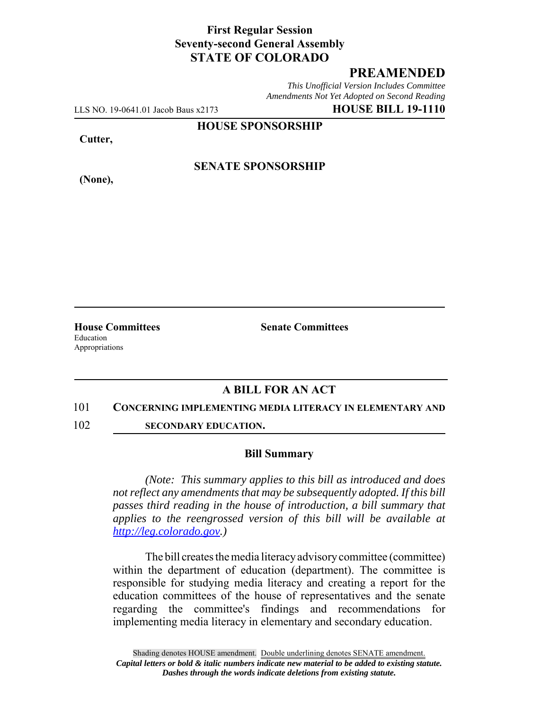# **First Regular Session Seventy-second General Assembly STATE OF COLORADO**

# **PREAMENDED**

*This Unofficial Version Includes Committee Amendments Not Yet Adopted on Second Reading*

LLS NO. 19-0641.01 Jacob Baus x2173 **HOUSE BILL 19-1110**

**HOUSE SPONSORSHIP**

**Cutter,**

**(None),**

**SENATE SPONSORSHIP**

**House Committees Senate Committees** Education Appropriations

## **A BILL FOR AN ACT**

#### 101 **CONCERNING IMPLEMENTING MEDIA LITERACY IN ELEMENTARY AND**

102 **SECONDARY EDUCATION.**

### **Bill Summary**

*(Note: This summary applies to this bill as introduced and does not reflect any amendments that may be subsequently adopted. If this bill passes third reading in the house of introduction, a bill summary that applies to the reengrossed version of this bill will be available at http://leg.colorado.gov.)*

The bill creates the media literacy advisory committee (committee) within the department of education (department). The committee is responsible for studying media literacy and creating a report for the education committees of the house of representatives and the senate regarding the committee's findings and recommendations for implementing media literacy in elementary and secondary education.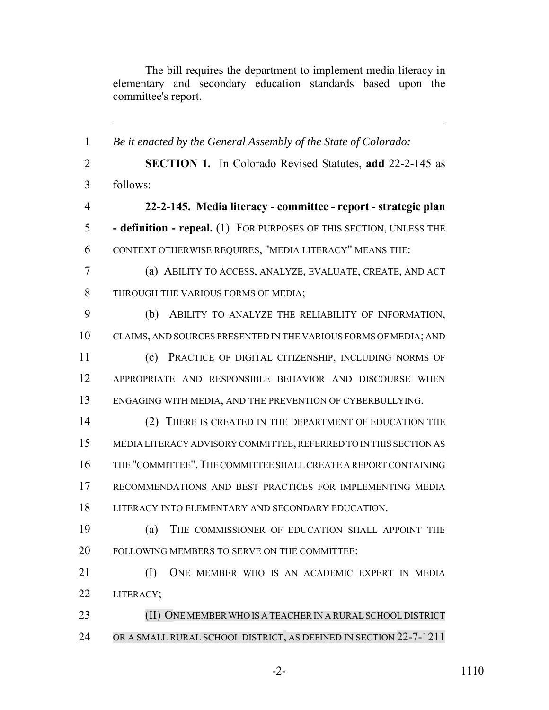The bill requires the department to implement media literacy in elementary and secondary education standards based upon the committee's report.

 *Be it enacted by the General Assembly of the State of Colorado:* **SECTION 1.** In Colorado Revised Statutes, **add** 22-2-145 as follows: **22-2-145. Media literacy - committee - report - strategic plan - definition - repeal.** (1) FOR PURPOSES OF THIS SECTION, UNLESS THE CONTEXT OTHERWISE REQUIRES, "MEDIA LITERACY" MEANS THE: (a) ABILITY TO ACCESS, ANALYZE, EVALUATE, CREATE, AND ACT THROUGH THE VARIOUS FORMS OF MEDIA; (b) ABILITY TO ANALYZE THE RELIABILITY OF INFORMATION, CLAIMS, AND SOURCES PRESENTED IN THE VARIOUS FORMS OF MEDIA; AND (c) PRACTICE OF DIGITAL CITIZENSHIP, INCLUDING NORMS OF APPROPRIATE AND RESPONSIBLE BEHAVIOR AND DISCOURSE WHEN ENGAGING WITH MEDIA, AND THE PREVENTION OF CYBERBULLYING. (2) THERE IS CREATED IN THE DEPARTMENT OF EDUCATION THE MEDIA LITERACY ADVISORY COMMITTEE, REFERRED TO IN THIS SECTION AS THE "COMMITTEE".THE COMMITTEE SHALL CREATE A REPORT CONTAINING RECOMMENDATIONS AND BEST PRACTICES FOR IMPLEMENTING MEDIA LITERACY INTO ELEMENTARY AND SECONDARY EDUCATION. (a) THE COMMISSIONER OF EDUCATION SHALL APPOINT THE FOLLOWING MEMBERS TO SERVE ON THE COMMITTEE: (I) ONE MEMBER WHO IS AN ACADEMIC EXPERT IN MEDIA LITERACY; **(II) ONE MEMBER WHO IS A TEACHER IN A RURAL SCHOOL DISTRICT** OR A SMALL RURAL SCHOOL DISTRICT, AS DEFINED IN SECTION 22-7-1211

-2- 1110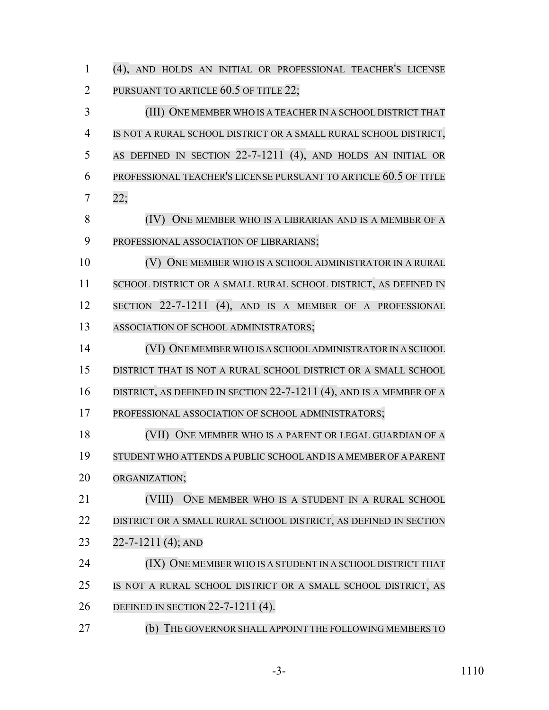(4), AND HOLDS AN INITIAL OR PROFESSIONAL TEACHER'S LICENSE PURSUANT TO ARTICLE 60.5 OF TITLE 22;

 (III) ONE MEMBER WHO IS A TEACHER IN A SCHOOL DISTRICT THAT IS NOT A RURAL SCHOOL DISTRICT OR A SMALL RURAL SCHOOL DISTRICT, AS DEFINED IN SECTION 22-7-1211 (4), AND HOLDS AN INITIAL OR PROFESSIONAL TEACHER'S LICENSE PURSUANT TO ARTICLE 60.5 OF TITLE 22;

 (IV) ONE MEMBER WHO IS A LIBRARIAN AND IS A MEMBER OF A PROFESSIONAL ASSOCIATION OF LIBRARIANS;

 (V) ONE MEMBER WHO IS A SCHOOL ADMINISTRATOR IN A RURAL 11 SCHOOL DISTRICT OR A SMALL RURAL SCHOOL DISTRICT, AS DEFINED IN 12 SECTION 22-7-1211 (4), AND IS A MEMBER OF A PROFESSIONAL ASSOCIATION OF SCHOOL ADMINISTRATORS;

 (VI) ONE MEMBERWHO IS A SCHOOL ADMINISTRATOR IN A SCHOOL DISTRICT THAT IS NOT A RURAL SCHOOL DISTRICT OR A SMALL SCHOOL

- 16 DISTRICT, AS DEFINED IN SECTION 22-7-1211 (4), AND IS A MEMBER OF A
- PROFESSIONAL ASSOCIATION OF SCHOOL ADMINISTRATORS;

 (VII) ONE MEMBER WHO IS A PARENT OR LEGAL GUARDIAN OF A STUDENT WHO ATTENDS A PUBLIC SCHOOL AND IS A MEMBER OF A PARENT ORGANIZATION;

 (VIII) ONE MEMBER WHO IS A STUDENT IN A RURAL SCHOOL DISTRICT OR A SMALL RURAL SCHOOL DISTRICT, AS DEFINED IN SECTION 22-7-1211 (4); AND

**(IX) ONE MEMBER WHO IS A STUDENT IN A SCHOOL DISTRICT THAT**  IS NOT A RURAL SCHOOL DISTRICT OR A SMALL SCHOOL DISTRICT, AS DEFINED IN SECTION 22-7-1211 (4).

27 (b) THE GOVERNOR SHALL APPOINT THE FOLLOWING MEMBERS TO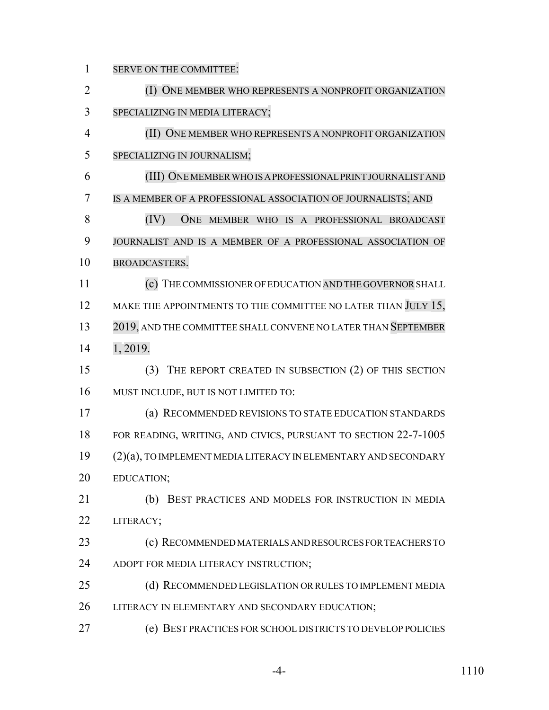SERVE ON THE COMMITTEE: **(I) ONE MEMBER WHO REPRESENTS A NONPROFIT ORGANIZATION**  SPECIALIZING IN MEDIA LITERACY; (II) ONE MEMBER WHO REPRESENTS A NONPROFIT ORGANIZATION SPECIALIZING IN JOURNALISM; (III) ONEMEMBERWHOIS A PROFESSIONAL PRINT JOURNALIST AND IS A MEMBER OF A PROFESSIONAL ASSOCIATION OF JOURNALISTS; AND (IV) ONE MEMBER WHO IS A PROFESSIONAL BROADCAST JOURNALIST AND IS A MEMBER OF A PROFESSIONAL ASSOCIATION OF BROADCASTERS. (c) THE COMMISSIONER OF EDUCATION ANDTHE GOVERNOR SHALL 12 MAKE THE APPOINTMENTS TO THE COMMITTEE NO LATER THAN JULY 15, 2019, AND THE COMMITTEE SHALL CONVENE NO LATER THAN SEPTEMBER 1, 2019. (3) THE REPORT CREATED IN SUBSECTION (2) OF THIS SECTION MUST INCLUDE, BUT IS NOT LIMITED TO: (a) RECOMMENDED REVISIONS TO STATE EDUCATION STANDARDS FOR READING, WRITING, AND CIVICS, PURSUANT TO SECTION 22-7-1005 (2)(a), TO IMPLEMENT MEDIA LITERACY IN ELEMENTARY AND SECONDARY EDUCATION; (b) BEST PRACTICES AND MODELS FOR INSTRUCTION IN MEDIA LITERACY; (c) RECOMMENDED MATERIALS AND RESOURCES FOR TEACHERS TO ADOPT FOR MEDIA LITERACY INSTRUCTION; (d) RECOMMENDED LEGISLATION OR RULES TO IMPLEMENT MEDIA LITERACY IN ELEMENTARY AND SECONDARY EDUCATION; (e) BEST PRACTICES FOR SCHOOL DISTRICTS TO DEVELOP POLICIES

-4- 1110